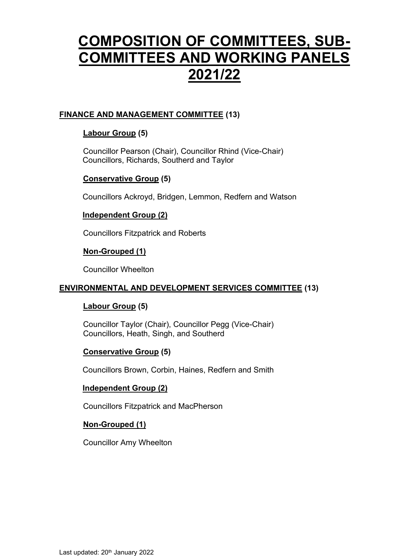# **COMPOSITION OF COMMITTEES, SUB-COMMITTEES AND WORKING PANELS 2021/22**

## **FINANCE AND MANAGEMENT COMMITTEE (13)**

## **Labour Group (5)**

Councillor Pearson (Chair), Councillor Rhind (Vice-Chair) Councillors, Richards, Southerd and Taylor

#### **Conservative Group (5)**

Councillors Ackroyd, Bridgen, Lemmon, Redfern and Watson

#### **Independent Group (2)**

Councillors Fitzpatrick and Roberts

#### **Non-Grouped (1)**

Councillor Wheelton

#### **ENVIRONMENTAL AND DEVELOPMENT SERVICES COMMITTEE (13)**

#### **Labour Group (5)**

Councillor Taylor (Chair), Councillor Pegg (Vice-Chair) Councillors, Heath, Singh, and Southerd

#### **Conservative Group (5)**

Councillors Brown, Corbin, Haines, Redfern and Smith

#### **Independent Group (2)**

Councillors Fitzpatrick and MacPherson

#### **Non-Grouped (1)**

Councillor Amy Wheelton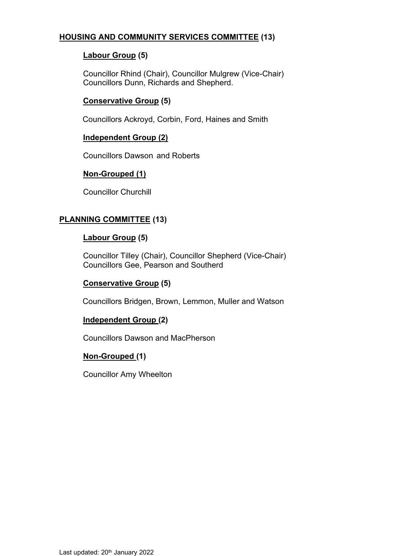## **HOUSING AND COMMUNITY SERVICES COMMITTEE (13)**

## **Labour Group (5)**

Councillor Rhind (Chair), Councillor Mulgrew (Vice-Chair) Councillors Dunn, Richards and Shepherd.

## **Conservative Group (5)**

Councillors Ackroyd, Corbin, Ford, Haines and Smith

#### **Independent Group (2)**

Councillors Dawson and Roberts

#### **Non-Grouped (1)**

Councillor Churchill

#### **PLANNING COMMITTEE (13)**

#### **Labour Group (5)**

Councillor Tilley (Chair), Councillor Shepherd (Vice-Chair) Councillors Gee, Pearson and Southerd

#### **Conservative Group (5)**

Councillors Bridgen, Brown, Lemmon, Muller and Watson

#### **Independent Group (2)**

Councillors Dawson and MacPherson

#### **Non-Grouped (1)**

Councillor Amy Wheelton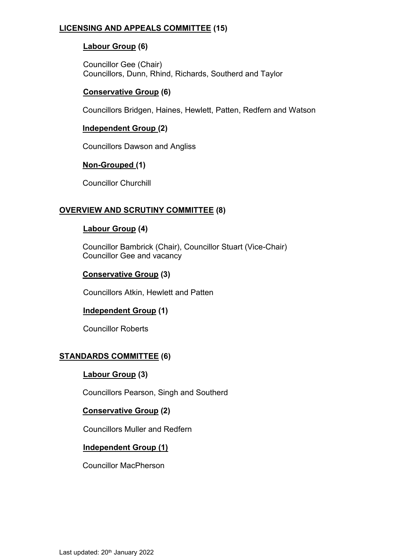## **LICENSING AND APPEALS COMMITTEE (15)**

## **Labour Group (6)**

Councillor Gee (Chair) Councillors, Dunn, Rhind, Richards, Southerd and Taylor

## **Conservative Group (6)**

Councillors Bridgen, Haines, Hewlett, Patten, Redfern and Watson

#### **Independent Group (2)**

Councillors Dawson and Angliss

#### **Non-Grouped (1)**

Councillor Churchill

#### **OVERVIEW AND SCRUTINY COMMITTEE (8)**

#### **Labour Group (4)**

Councillor Bambrick (Chair), Councillor Stuart (Vice-Chair) Councillor Gee and vacancy

#### **Conservative Group (3)**

Councillors Atkin, Hewlett and Patten

#### **Independent Group (1)**

Councillor Roberts

# **STANDARDS COMMITTEE (6)**

#### **Labour Group (3)**

Councillors Pearson, Singh and Southerd

#### **Conservative Group (2)**

Councillors Muller and Redfern

#### **Independent Group (1)**

Councillor MacPherson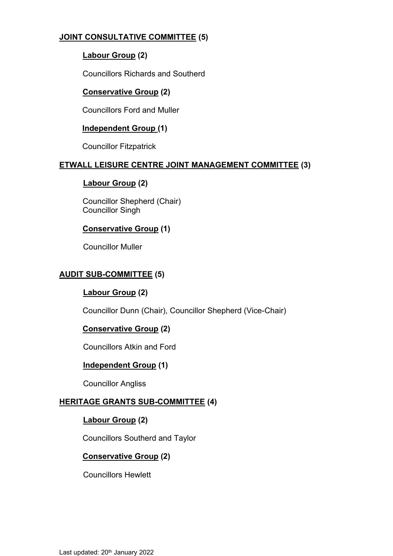# **JOINT CONSULTATIVE COMMITTEE (5)**

# **Labour Group (2)**

Councillors Richards and Southerd

# **Conservative Group (2)**

Councillors Ford and Muller

## **Independent Group (1)**

Councillor Fitzpatrick

## **ETWALL LEISURE CENTRE JOINT MANAGEMENT COMMITTEE (3)**

## **Labour Group (2)**

Councillor Shepherd (Chair) Councillor Singh

# **Conservative Group (1)**

Councillor Muller

# **AUDIT SUB-COMMITTEE (5)**

# **Labour Group (2)**

Councillor Dunn (Chair), Councillor Shepherd (Vice-Chair)

# **Conservative Group (2)**

Councillors Atkin and Ford

# **Independent Group (1)**

Councillor Angliss

# **HERITAGE GRANTS SUB-COMMITTEE (4)**

# **Labour Group (2)**

Councillors Southerd and Taylor

# **Conservative Group (2)**

Councillors Hewlett